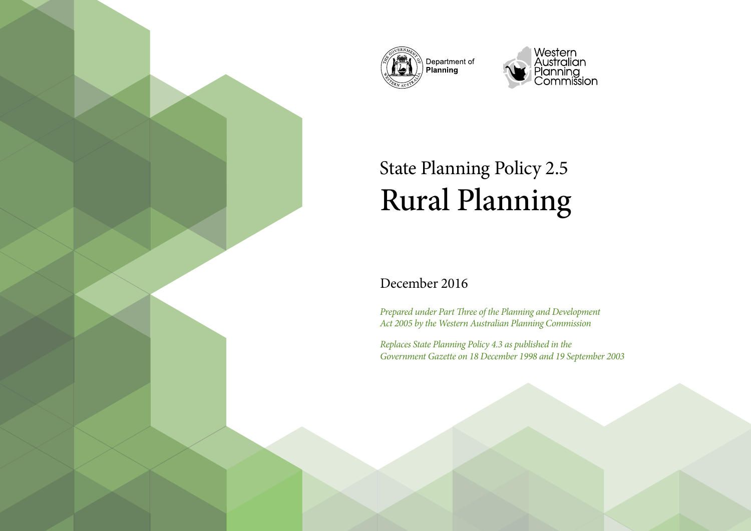



# State Planning Policy 2.5 Rural Planning

## December 2016

*Prepared under Part Three of the Planning and Development Act 2005 by the Western Australian Planning Commission*

*Replaces State Planning Policy 4.3 as published in the Government Gazette on 18 December 1998 and 19 September 2003*

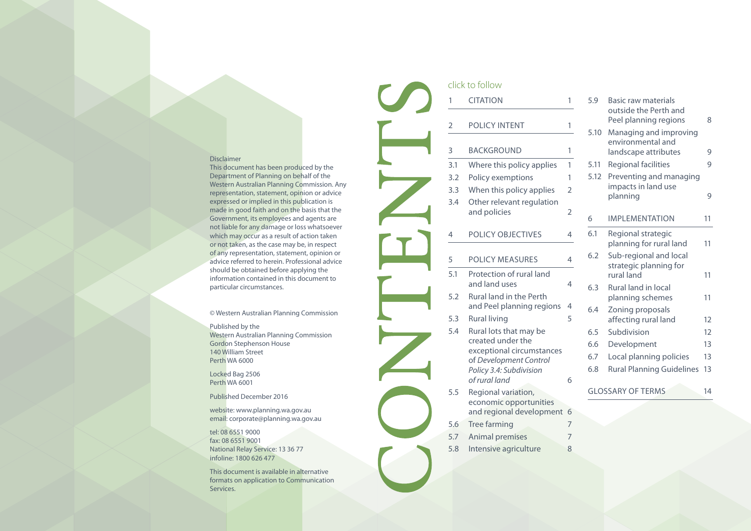#### Disclaimer

This document has been produced by the Department of Planning on behalf of the Western Australian Planning Commission. Any representation, statement, opinion or advice expressed or implied in this publication is made in good faith and on the basis that the Government, its employees and agents are not liable for any damage or loss whatsoever which may occur as a result of action taken or not taken, as the case may be, in respect of any representation, statement, opinion or advice referred to herein. Professional advice should be obtained before applying the information contained in this document to particular circumstances.

© Western Australian Planning Commission

Published by the

Western Australian Planning Commission Gordon Stephenson House 140 William Street Perth WA 6000

Locked Bag 2506 Perth WA 6001

Published December 2016

website: www.planning.wa.gov.au email: corporate@planning.wa.gov.au

tel: 08 6551 9000 fax: 08 6551 9001 National Relay Service: 13 36 77 infoline: 1800 626 477

This document is available in alternative formats on application to Communication Services.

## **CITATION** 2 POLICY INTENT 3 BACKGROUND 3.1 Where this policy applies 3.2 Policy exemptions 3.3 When this policy applies 3.4 Other relevant regulation and policies 4 POLICY OBJECTIVES 5 POLICY MEASURES 5.1 Protection of rural land and land uses 5.2 Rural land in the Perth and Peel planning regions 4 5.3 Rural living 5.4 Rural lots that may be created under the exceptional circumstances of *Development Control Policy 3.4: Subdivision of rural land* 5.5 Regional variation, economic opportunities and regional development 6 5.6 Tree farming 5.7 Animal premises 5.8 Intensive agriculture click to follow

| 5.9  | Basic raw materials<br>outside the Perth and<br>Peel planning regions | 8  |
|------|-----------------------------------------------------------------------|----|
| 5.10 | Managing and improving<br>environmental and<br>landscape attributes   | 9  |
| 5.11 | Regional facilities                                                   | 9  |
| 5.12 | Preventing and managing<br>impacts in land use                        |    |
|      | planning                                                              | 9  |
| 6    | <b>IMPLEMENTATION</b>                                                 | 11 |
| 6.1  | Regional strategic<br>planning for rural land                         | 11 |
| 6.2  | Sub-regional and local<br>strategic planning for<br>rural land        | 11 |
| 6.3  | <b>Rural land in local</b><br>planning schemes                        | 11 |
| 6.4  | Zoning proposals<br>affecting rural land                              | 12 |
| 6.5  | Subdivision                                                           | 12 |
| 6.6  | Development                                                           | 13 |
| 6.7  | Local planning policies                                               | 13 |
| 6.8  | <b>Rural Planning Guidelines</b>                                      | 13 |
|      | <b>GLOSSARY OF TERMS</b>                                              | 14 |

1

1

1

1

2

4

4

4

5

6

7

7

8

2

1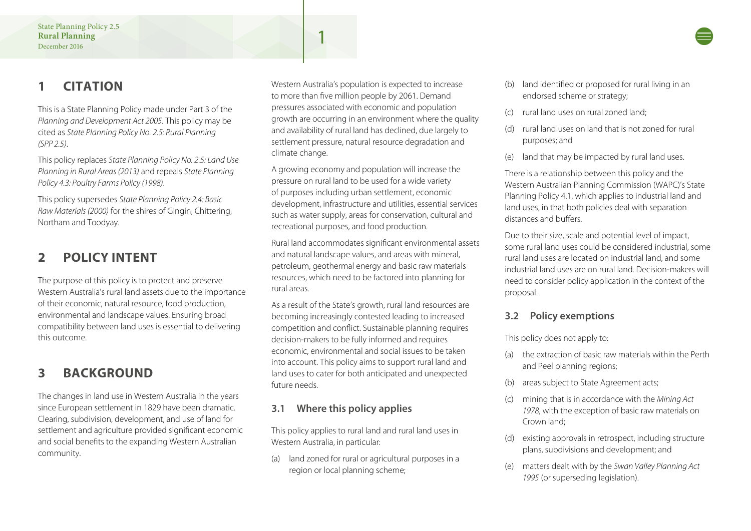This is a State Planning Policy made under Part 3 of the *Planning and Development Act 2005*. This policy may be cited as *State Planning Policy No. 2.5: Rural Planning (SPP 2.5)*.

This policy replaces *State Planning Policy No. 2.5: Land Use Planning in Rural Areas (2013)* and repeals *State Planning Policy 4.3: Poultry Farms Policy (1998)*.

This policy supersedes *State Planning Policy 2.4: Basic Raw Materials (2000)* for the shires of Gingin, Chittering, Northam and Toodyay.

## **2 POLICY INTENT**

The purpose of this policy is to protect and preserve Western Australia's rural land assets due to the importance of their economic, natural resource, food production, environmental and landscape values. Ensuring broad compatibility between land uses is essential to delivering this outcome.

## **3 BACKGROUND**

The changes in land use in Western Australia in the years since European settlement in 1829 have been dramatic. Clearing, subdivision, development, and use of land for settlement and agriculture provided significant economic and social benefits to the expanding Western Australian community.

Western Australia's population is expected to increase to more than five million people by 2061. Demand pressures associated with economic and population growth are occurring in an environment where the quality and availability of rural land has declined, due largely to settlement pressure, natural resource degradation and climate change.

A growing economy and population will increase the pressure on rural land to be used for a wide variety of purposes including urban settlement, economic development, infrastructure and utilities, essential services such as water supply, areas for conservation, cultural and recreational purposes, and food production.

Rural land accommodates significant environmental assets and natural landscape values, and areas with mineral, petroleum, geothermal energy and basic raw materials resources, which need to be factored into planning for rural areas.

As a result of the State's growth, rural land resources are becoming increasingly contested leading to increased competition and conflict. Sustainable planning requires decision-makers to be fully informed and requires economic, environmental and social issues to be taken into account. This policy aims to support rural land and land uses to cater for both anticipated and unexpected future needs.

#### **3.1 Where this policy applies**

This policy applies to rural land and rural land uses in Western Australia, in particular:

(a) land zoned for rural or agricultural purposes in a region or local planning scheme;

- (b) land identified or proposed for rural living in an endorsed scheme or strategy;
- (c) rural land uses on rural zoned land;
- (d) rural land uses on land that is not zoned for rural purposes; and
- (e) land that may be impacted by rural land uses.

There is a relationship between this policy and the Western Australian Planning Commission (WAPC)'s State Planning Policy 4.1, which applies to industrial land and land uses, in that both policies deal with separation distances and buffers.

Due to their size, scale and potential level of impact, some rural land uses could be considered industrial, some rural land uses are located on industrial land, and some industrial land uses are on rural land. Decision-makers will need to consider policy application in the context of the proposal.

#### **3.2 Policy exemptions**

This policy does not apply to:

- (a) the extraction of basic raw materials within the Perth and Peel planning regions;
- (b) areas subject to State Agreement acts;
- (c) mining that is in accordance with the *Mining Act 1978*, with the exception of basic raw materials on Crown land;
- (d) existing approvals in retrospect, including structure plans, subdivisions and development; and
- (e) matters dealt with by the *Swan Valley Planning Act 1995* (or superseding legislation).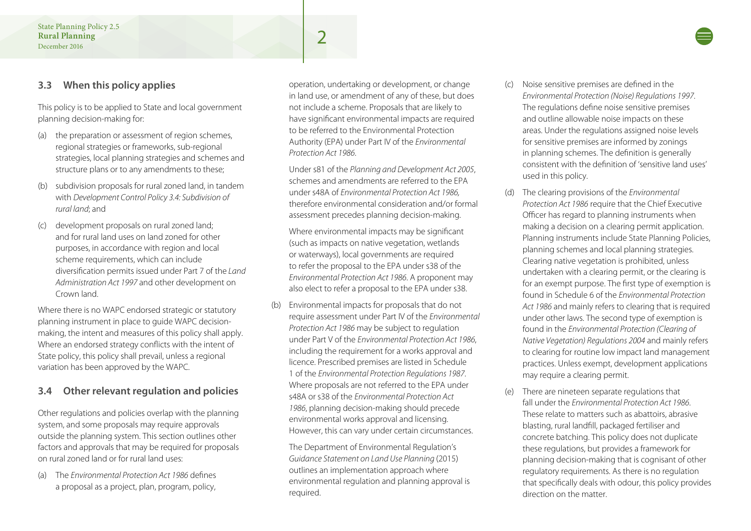#### **3.3 When this policy applies**

This policy is to be applied to State and local government planning decision-making for:

- (a) the preparation or assessment of region schemes, regional strategies or frameworks, sub-regional strategies, local planning strategies and schemes and structure plans or to any amendments to these;
- (b) subdivision proposals for rural zoned land, in tandem with *Development Control Policy 3.4: Subdivision of rural land*; and
- (c) development proposals on rural zoned land; and for rural land uses on land zoned for other purposes, in accordance with region and local scheme requirements, which can include diversification permits issued under Part 7 of the *Land Administration Act 1997* and other development on Crown land.

Where there is no WAPC endorsed strategic or statutory planning instrument in place to guide WAPC decisionmaking, the intent and measures of this policy shall apply. Where an endorsed strategy conflicts with the intent of State policy, this policy shall prevail, unless a regional variation has been approved by the WAPC.

#### **3.4 Other relevant regulation and policies**

Other regulations and policies overlap with the planning system, and some proposals may require approvals outside the planning system. This section outlines other factors and approvals that may be required for proposals on rural zoned land or for rural land uses:

(a) The *Environmental Protection Act 1986* defines a proposal as a project, plan, program, policy,

operation, undertaking or development, or change in land use, or amendment of any of these, but does not include a scheme. Proposals that are likely to have significant environmental impacts are required to be referred to the Environmental Protection Authority (EPA) under Part IV of the *Environmental Protection Act 1986*.

Under s81 of the *Planning and Development Act 2005*, schemes and amendments are referred to the EPA under s48A of *Environmental Protection Act 1986,* therefore environmental consideration and/or formal assessment precedes planning decision-making.

Where environmental impacts may be significant (such as impacts on native vegetation, wetlands or waterways), local governments are required to refer the proposal to the EPA under s38 of the *Environmental Protection Act 1986*. A proponent may also elect to refer a proposal to the EPA under s38.

(b) Environmental impacts for proposals that do not require assessment under Part IV of the *Environmental Protection Act 1986* may be subject to regulation under Part V of the *Environmental Protection Act 1986*, including the requirement for a works approval and licence. Prescribed premises are listed in Schedule 1 of the *Environmental Protection Regulations 1987*. Where proposals are not referred to the EPA under s48A or s38 of the *Environmental Protection Act 1986*, planning decision-making should precede environmental works approval and licensing. However, this can vary under certain circumstances.

The Department of Environmental Regulation's *Guidance Statement on Land Use Planning* (2015) outlines an implementation approach where environmental regulation and planning approval is required.

- (c) Noise sensitive premises are defined in the *Environmental Protection (Noise) Regulations 1997*. The regulations define noise sensitive premises and outline allowable noise impacts on these areas. Under the regulations assigned noise levels for sensitive premises are informed by zonings in planning schemes. The definition is generally consistent with the definition of 'sensitive land uses' used in this policy.
- (d) The clearing provisions of the *Environmental Protection Act 1986* require that the Chief Executive Officer has regard to planning instruments when making a decision on a clearing permit application. Planning instruments include State Planning Policies, planning schemes and local planning strategies. Clearing native vegetation is prohibited, unless undertaken with a clearing permit, or the clearing is for an exempt purpose. The first type of exemption is found in Schedule 6 of the *Environmental Protection Act 1986* and mainly refers to clearing that is required under other laws. The second type of exemption is found in the *Environmental Protection (Clearing of Native Vegetation) Regulations 2004* and mainly refers to clearing for routine low impact land management practices. Unless exempt, development applications may require a clearing permit.
- (e) There are nineteen separate regulations that fall under the *Environmental Protection Act 1986*. These relate to matters such as abattoirs, abrasive blasting, rural landfill, packaged fertiliser and concrete batching. This policy does not duplicate these regulations, but provides a framework for planning decision-making that is cognisant of other regulatory requirements. As there is no regulation that specifically deals with odour, this policy provides direction on the matter.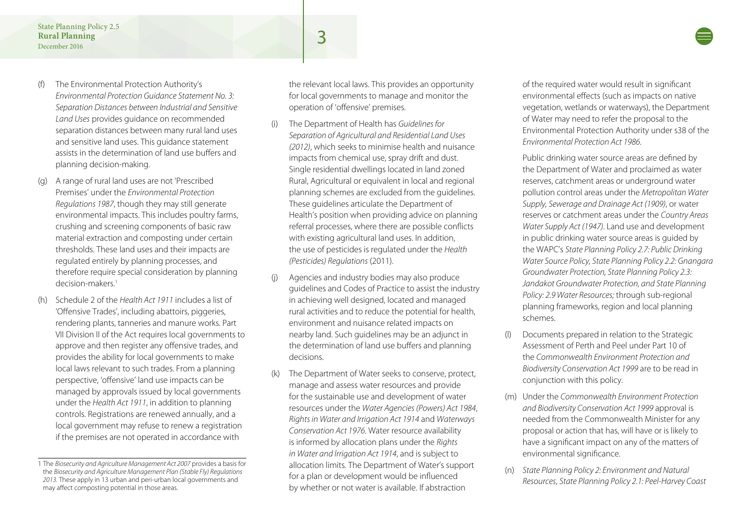- (f) The Environmental Protection Authority's *Environmental Protection Guidance Statement No. 3: Separation Distances between Industrial and Sensitive Land Uses* provides guidance on recommended separation distances between many rural land uses and sensitive land uses. This guidance statement assists in the determination of land use buffers and planning decision-making.
- (g) A range of rural land uses are not 'Prescribed Premises' under the *Environmental Protection Regulations 1987*, though they may still generate environmental impacts. This includes poultry farms, crushing and screening components of basic raw material extraction and composting under certain thresholds. These land uses and their impacts are regulated entirely by planning processes, and therefore require special consideration by planning decision-makers<sup>1</sup>
- (h) Schedule 2 of the *Health Act 1911* includes a list of 'Offensive Trades', including abattoirs, piggeries, rendering plants, tanneries and manure works. Part VII Division II of the Act requires local governments to approve and then register any offensive trades, and provides the ability for local governments to make local laws relevant to such trades. From a planning perspective, 'offensive' land use impacts can be managed by approvals issued by local governments under the *Health Act 1911*, in addition to planning controls. Registrations are renewed annually, and a local government may refuse to renew a registration if the premises are not operated in accordance with

the relevant local laws. This provides an opportunity for local governments to manage and monitor the operation of 'offensive' premises.

- (i) The Department of Health has *Guidelines for Separation of Agricultural and Residential Land Uses (2012)*, which seeks to minimise health and nuisance impacts from chemical use, spray drift and dust. Single residential dwellings located in land zoned Rural, Agricultural or equivalent in local and regional planning schemes are excluded from the guidelines. These guidelines articulate the Department of Health's position when providing advice on planning referral processes, where there are possible conflicts with existing agricultural land uses. In addition, the use of pesticides is regulated under the *Health (Pesticides) Regulations* (2011).
- Agencies and industry bodies may also produce guidelines and Codes of Practice to assist the industry in achieving well designed, located and managed rural activities and to reduce the potential for health, environment and nuisance related impacts on nearby land. Such guidelines may be an adjunct in the determination of land use buffers and planning decisions.
- The Department of Water seeks to conserve, protect, manage and assess water resources and provide for the sustainable use and development of water resources under the *Water Agencies (Powers) Act 1984*, *Rights in Water and Irrigation Act 1914* and *Waterways Conservation Act 1976*. Water resource availability is informed by allocation plans under the *Rights in Water and lrrigation Act 1914*, and is subject to allocation limits. The Department of Water's support for a plan or development would be influenced by whether or not water is available. If abstraction

of the required water would result in significant environmental effects (such as impacts on native vegetation, wetlands or waterways), the Department of Water may need to refer the proposal to the Environmental Protection Authority under s38 of the *Environmental Protection Act 1986*.

Public drinking water source areas are defined by the Department of Water and proclaimed as water reserves, catchment areas or underground water pollution control areas under the *Metropolitan Water Supply, Sewerage and Drainage Act (1909)*, or water reserves or catchment areas under the *Country Areas Water Supply Act (1947)*. Land use and development in public drinking water source areas is guided by the WAPC's *State Planning Policy 2.7: Public Drinking Water Source Policy, State Planning Policy 2.2: Gnangara Groundwater Protection, State Planning Policy 2.3: Jandakot Groundwater Protection, and State Planning Policy: 2.9 Water Resources;* through sub-regional planning frameworks, region and local planning schemes.

- (l) Documents prepared in relation to the Strategic Assessment of Perth and Peel under Part 10 of the *Commonwealth Environment Protection and Biodiversity Conservation Act 1999* are to be read in conjunction with this policy.
- (m) Under the *Commonwealth Environment Protection and Biodiversity Conservation Act 1999* approval is needed from the Commonwealth Minister for any proposal or action that has, will have or is likely to have a significant impact on any of the matters of environmental significance.
- (n) *State Planning Policy 2: Environment and Natural Resources*, *State Planning Policy 2.1: Peel-Harvey Coast*

<sup>1</sup> The *Biosecurity and Agriculture Management Act 2007* provides a basis for the *Biosecurity and Agriculture Management Plan (Stable Fly) Regulations 2013*. These apply in 13 urban and peri-urban local governments and may affect composting potential in those areas.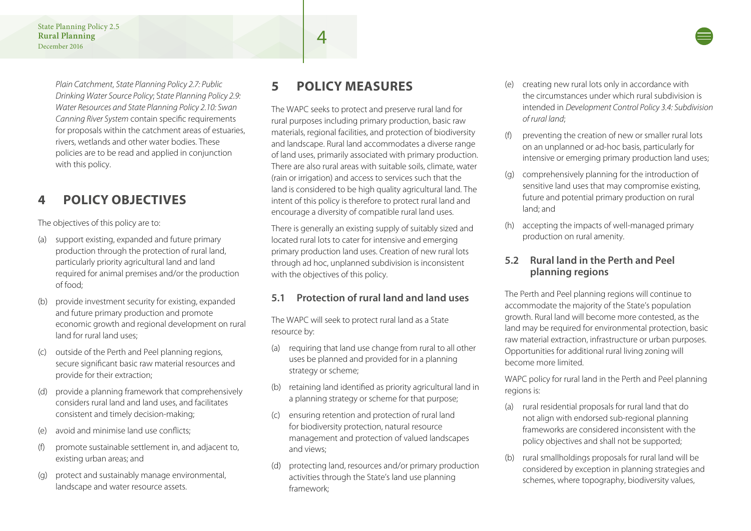*Plain Catchment*, *State Planning Policy 2.7: Public Drinking Water Source Policy*; S*tate Planning Policy 2.9: Water Resources and State Planning Policy 2.10: Swan Canning River System* contain specific requirements for proposals within the catchment areas of estuaries, rivers, wetlands and other water bodies. These policies are to be read and applied in conjunction with this policy.

## **4 POLICY OBJECTIVES**

The objectives of this policy are to:

- (a) support existing, expanded and future primary production through the protection of rural land, particularly priority agricultural land and land required for animal premises and/or the production of food;
- (b) provide investment security for existing, expanded and future primary production and promote economic growth and regional development on rural land for rural land uses;
- (c) outside of the Perth and Peel planning regions, secure significant basic raw material resources and provide for their extraction;
- (d) provide a planning framework that comprehensively considers rural land and land uses, and facilitates consistent and timely decision-making;
- (e) avoid and minimise land use conflicts;
- (f) promote sustainable settlement in, and adjacent to, existing urban areas; and
- (g) protect and sustainably manage environmental, landscape and water resource assets.

## **5 POLICY MEASURES**

The WAPC seeks to protect and preserve rural land for rural purposes including primary production, basic raw materials, regional facilities, and protection of biodiversity and landscape. Rural land accommodates a diverse range of land uses, primarily associated with primary production. There are also rural areas with suitable soils, climate, water (rain or irrigation) and access to services such that the land is considered to be high quality agricultural land. The intent of this policy is therefore to protect rural land and encourage a diversity of compatible rural land uses.

There is generally an existing supply of suitably sized and located rural lots to cater for intensive and emerging primary production land uses. Creation of new rural lots through ad hoc, unplanned subdivision is inconsistent with the objectives of this policy.

### **5.1 Protection of rural land and land uses**

The WAPC will seek to protect rural land as a State resource by:

- (a) requiring that land use change from rural to all other uses be planned and provided for in a planning strategy or scheme;
- (b) retaining land identified as priority agricultural land in a planning strategy or scheme for that purpose;
- (c) ensuring retention and protection of rural land for biodiversity protection, natural resource management and protection of valued landscapes and views;
- (d) protecting land, resources and/or primary production activities through the State's land use planning framework;
- (e) creating new rural lots only in accordance with the circumstances under which rural subdivision is intended in *Development Control Policy 3.4: Subdivision of rural land*;
- (f) preventing the creation of new or smaller rural lots on an unplanned or ad-hoc basis, particularly for intensive or emerging primary production land uses;
- (g) comprehensively planning for the introduction of sensitive land uses that may compromise existing, future and potential primary production on rural land; and
- (h) accepting the impacts of well-managed primary production on rural amenity.

#### **5.2 Rural land in the Perth and Peel planning regions**

The Perth and Peel planning regions will continue to accommodate the majority of the State's population growth. Rural land will become more contested, as the land may be required for environmental protection, basic raw material extraction, infrastructure or urban purposes. Opportunities for additional rural living zoning will become more limited.

WAPC policy for rural land in the Perth and Peel planning regions is:

- (a) rural residential proposals for rural land that do not align with endorsed sub-regional planning frameworks are considered inconsistent with the policy objectives and shall not be supported;
- (b) rural smallholdings proposals for rural land will be considered by exception in planning strategies and schemes, where topography, biodiversity values,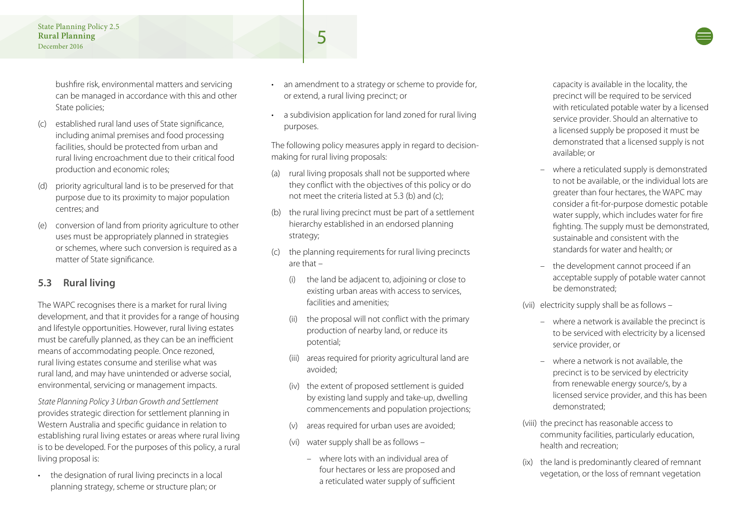bushfire risk, environmental matters and servicing can be managed in accordance with this and other State policies;

- (c) established rural land uses of State significance, including animal premises and food processing facilities, should be protected from urban and rural living encroachment due to their critical food production and economic roles;
- (d) priority agricultural land is to be preserved for that purpose due to its proximity to major population centres; and
- (e) conversion of land from priority agriculture to other uses must be appropriately planned in strategies or schemes, where such conversion is required as a matter of State significance.

#### **5.3 Rural living**

The WAPC recognises there is a market for rural living development, and that it provides for a range of housing and lifestyle opportunities. However, rural living estates must be carefully planned, as they can be an inefficient means of accommodating people. Once rezoned, rural living estates consume and sterilise what was rural land, and may have unintended or adverse social, environmental, servicing or management impacts.

*State Planning Policy 3 Urban Growth and Settlement* provides strategic direction for settlement planning in Western Australia and specific guidance in relation to establishing rural living estates or areas where rural living is to be developed. For the purposes of this policy, a rural living proposal is:

• the designation of rural living precincts in a local planning strategy, scheme or structure plan; or

- an amendment to a strategy or scheme to provide for, or extend, a rural living precinct; or
- a subdivision application for land zoned for rural living purposes.

The following policy measures apply in regard to decisionmaking for rural living proposals:

- (a) rural living proposals shall not be supported where they conflict with the objectives of this policy or do not meet the criteria listed at 5.3 (b) and (c);
- (b) the rural living precinct must be part of a settlement hierarchy established in an endorsed planning strategy;
- (c) the planning requirements for rural living precincts are that –
	- (i) the land be adjacent to, adjoining or close to existing urban areas with access to services, facilities and amenities;
	- (ii) the proposal will not conflict with the primary production of nearby land, or reduce its potential;
	- (iii) areas required for priority agricultural land are avoided;
	- (iv) the extent of proposed settlement is guided by existing land supply and take-up, dwelling commencements and population projections;
	- (v) areas required for urban uses are avoided;
	- (vi) water supply shall be as follows
		- where lots with an individual area of four hectares or less are proposed and a reticulated water supply of sufficient

capacity is available in the locality, the precinct will be required to be serviced with reticulated potable water by a licensed service provider. Should an alternative to a licensed supply be proposed it must be demonstrated that a licensed supply is not available; or

- where a reticulated supply is demonstrated to not be available, or the individual lots are greater than four hectares, the WAPC may consider a fit-for-purpose domestic potable water supply, which includes water for fire fighting. The supply must be demonstrated, sustainable and consistent with the standards for water and health; or
- the development cannot proceed if an acceptable supply of potable water cannot be demonstrated;
- (vii) electricity supply shall be as follows
	- where a network is available the precinct is to be serviced with electricity by a licensed service provider, or
	- where a network is not available, the precinct is to be serviced by electricity from renewable energy source/s, by a licensed service provider, and this has been demonstrated;
- (viii) the precinct has reasonable access to community facilities, particularly education, health and recreation;
- (ix) the land is predominantly cleared of remnant vegetation, or the loss of remnant vegetation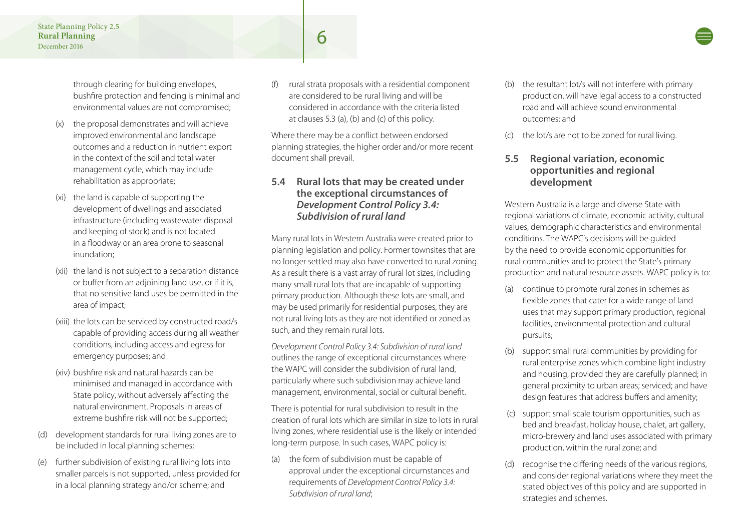through clearing for building envelopes, bushfire protection and fencing is minimal and environmental values are not compromised;

- (x) the proposal demonstrates and will achieve improved environmental and landscape outcomes and a reduction in nutrient export in the context of the soil and total water management cycle, which may include rehabilitation as appropriate;
- (xi) the land is capable of supporting the development of dwellings and associated infrastructure (including wastewater disposal and keeping of stock) and is not located in a floodway or an area prone to seasonal inundation;
- (xii) the land is not subject to a separation distance or buffer from an adjoining land use, or if it is, that no sensitive land uses be permitted in the area of impact;
- (xiii) the lots can be serviced by constructed road/s capable of providing access during all weather conditions, including access and egress for emergency purposes; and
- (xiv) bushfire risk and natural hazards can be minimised and managed in accordance with State policy, without adversely affecting the natural environment. Proposals in areas of extreme bushfire risk will not be supported;
- (d) development standards for rural living zones are to be included in local planning schemes;
- (e) further subdivision of existing rural living lots into smaller parcels is not supported, unless provided for in a local planning strategy and/or scheme; and

rural strata proposals with a residential component are considered to be rural living and will be considered in accordance with the criteria listed at clauses 5.3 (a), (b) and (c) of this policy.

Where there may be a conflict between endorsed planning strategies, the higher order and/or more recent document shall prevail.

#### **5.4 Rural lots that may be created under the exceptional circumstances of**  *Development Control Policy 3.4: Subdivision of rural land*

Many rural lots in Western Australia were created prior to planning legislation and policy. Former townsites that are no longer settled may also have converted to rural zoning. As a result there is a vast array of rural lot sizes, including many small rural lots that are incapable of supporting primary production. Although these lots are small, and may be used primarily for residential purposes, they are not rural living lots as they are not identified or zoned as such, and they remain rural lots.

*Development Control Policy 3.4: Subdivision of rural land* outlines the range of exceptional circumstances where the WAPC will consider the subdivision of rural land, particularly where such subdivision may achieve land management, environmental, social or cultural benefit.

There is potential for rural subdivision to result in the creation of rural lots which are similar in size to lots in rural living zones, where residential use is the likely or intended long-term purpose. In such cases, WAPC policy is:

(a) the form of subdivision must be capable of approval under the exceptional circumstances and requirements of *Development Control Policy 3.4: Subdivision of rural land*;

- (b) the resultant lot/s will not interfere with primary production, will have legal access to a constructed road and will achieve sound environmental outcomes; and
- (c) the lot/s are not to be zoned for rural living.

#### **5.5 Regional variation, economic opportunities and regional development**

Western Australia is a large and diverse State with regional variations of climate, economic activity, cultural values, demographic characteristics and environmental conditions. The WAPC's decisions will be guided by the need to provide economic opportunities for rural communities and to protect the State's primary production and natural resource assets. WAPC policy is to:

- (a) continue to promote rural zones in schemes as flexible zones that cater for a wide range of land uses that may support primary production, regional facilities, environmental protection and cultural pursuits;
- (b) support small rural communities by providing for rural enterprise zones which combine light industry and housing, provided they are carefully planned; in general proximity to urban areas; serviced; and have design features that address buffers and amenity;
- (c) support small scale tourism opportunities, such as bed and breakfast, holiday house, chalet, art gallery, micro-brewery and land uses associated with primary production, within the rural zone; and
- (d) recognise the differing needs of the various regions, and consider regional variations where they meet the stated objectives of this policy and are supported in strategies and schemes.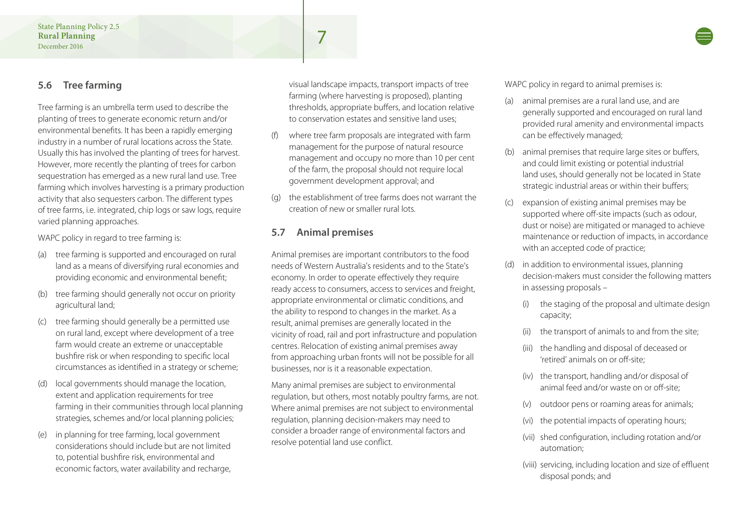Tree farming is an umbrella term used to describe the planting of trees to generate economic return and/or environmental benefits. It has been a rapidly emerging industry in a number of rural locations across the State. Usually this has involved the planting of trees for harvest. However, more recently the planting of trees for carbon sequestration has emerged as a new rural land use. Tree farming which involves harvesting is a primary production activity that also sequesters carbon. The different types of tree farms, i.e. integrated, chip logs or saw logs, require varied planning approaches.

WAPC policy in regard to tree farming is:

- (a) tree farming is supported and encouraged on rural land as a means of diversifying rural economies and providing economic and environmental benefit;
- (b) tree farming should generally not occur on priority agricultural land;
- (c) tree farming should generally be a permitted use on rural land, except where development of a tree farm would create an extreme or unacceptable bushfire risk or when responding to specific local circumstances as identified in a strategy or scheme;
- (d) local governments should manage the location, extent and application requirements for tree farming in their communities through local planning strategies, schemes and/or local planning policies;
- (e) in planning for tree farming, local government considerations should include but are not limited to, potential bushfire risk, environmental and economic factors, water availability and recharge,

visual landscape impacts, transport impacts of tree farming (where harvesting is proposed), planting thresholds, appropriate buffers, and location relative to conservation estates and sensitive land uses;

- where tree farm proposals are integrated with farm management for the purpose of natural resource management and occupy no more than 10 per cent of the farm, the proposal should not require local government development approval; and
- (g) the establishment of tree farms does not warrant the creation of new or smaller rural lots.

#### **5.7 Animal premises**

Animal premises are important contributors to the food needs of Western Australia's residents and to the State's economy. In order to operate effectively they require ready access to consumers, access to services and freight, appropriate environmental or climatic conditions, and the ability to respond to changes in the market. As a result, animal premises are generally located in the vicinity of road, rail and port infrastructure and population centres. Relocation of existing animal premises away from approaching urban fronts will not be possible for all businesses, nor is it a reasonable expectation.

Many animal premises are subject to environmental regulation, but others, most notably poultry farms, are not. Where animal premises are not subject to environmental regulation, planning decision-makers may need to consider a broader range of environmental factors and resolve potential land use conflict.

WAPC policy in regard to animal premises is:

- (a) animal premises are a rural land use, and are generally supported and encouraged on rural land provided rural amenity and environmental impacts can be effectively managed;
- (b) animal premises that require large sites or buffers, and could limit existing or potential industrial land uses, should generally not be located in State strategic industrial areas or within their buffers;
- (c) expansion of existing animal premises may be supported where off-site impacts (such as odour, dust or noise) are mitigated or managed to achieve maintenance or reduction of impacts, in accordance with an accepted code of practice;
- (d) in addition to environmental issues, planning decision-makers must consider the following matters in assessing proposals –
	- the staging of the proposal and ultimate design capacity;
	- the transport of animals to and from the site:
	- the handling and disposal of deceased or 'retired' animals on or off-site;
	- (iv) the transport, handling and/or disposal of animal feed and/or waste on or off-site;
	- (v) outdoor pens or roaming areas for animals;
	- (vi) the potential impacts of operating hours;
	- (vii) shed configuration, including rotation and/or automation;
	- (viii) servicing, including location and size of effluent disposal ponds; and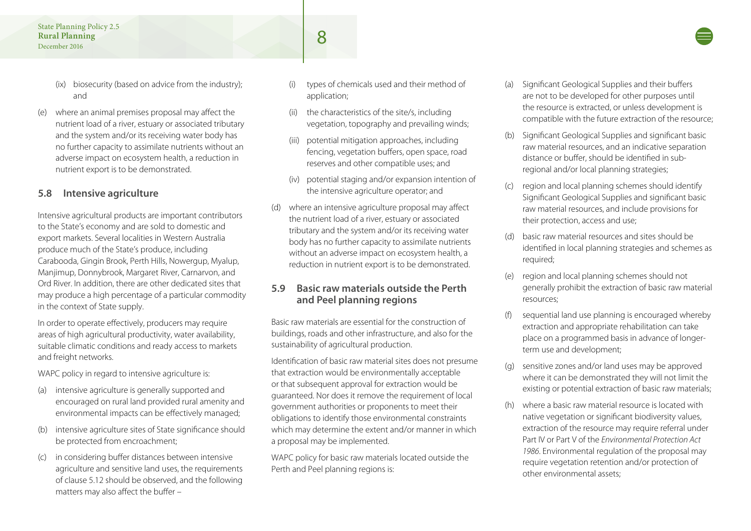- (ix) biosecurity (based on advice from the industry); and
- (e) where an animal premises proposal may affect the nutrient load of a river, estuary or associated tributary and the system and/or its receiving water body has no further capacity to assimilate nutrients without an adverse impact on ecosystem health, a reduction in nutrient export is to be demonstrated.

#### **5.8 Intensive agriculture**

Intensive agricultural products are important contributors to the State's economy and are sold to domestic and export markets. Several localities in Western Australia produce much of the State's produce, including Carabooda, Gingin Brook, Perth Hills, Nowergup, Myalup, Manjimup, Donnybrook, Margaret River, Carnarvon, and Ord River. In addition, there are other dedicated sites that may produce a high percentage of a particular commodity in the context of State supply.

In order to operate effectively, producers may require areas of high agricultural productivity, water availability, suitable climatic conditions and ready access to markets and freight networks.

WAPC policy in regard to intensive agriculture is:

- (a) intensive agriculture is generally supported and encouraged on rural land provided rural amenity and environmental impacts can be effectively managed;
- (b) intensive agriculture sites of State significance should be protected from encroachment;
- (c) in considering buffer distances between intensive agriculture and sensitive land uses, the requirements of clause 5.12 should be observed, and the following matters may also affect the buffer –
- (i) types of chemicals used and their method of application;
- (ii) the characteristics of the site/s, including vegetation, topography and prevailing winds;
- (iii) potential mitigation approaches, including fencing, vegetation buffers, open space, road reserves and other compatible uses; and
- (iv) potential staging and/or expansion intention of the intensive agriculture operator; and
- (d) where an intensive agriculture proposal may affect the nutrient load of a river, estuary or associated tributary and the system and/or its receiving water body has no further capacity to assimilate nutrients without an adverse impact on ecosystem health, a reduction in nutrient export is to be demonstrated.

#### **5.9 Basic raw materials outside the Perth and Peel planning regions**

Basic raw materials are essential for the construction of buildings, roads and other infrastructure, and also for the sustainability of agricultural production.

Identification of basic raw material sites does not presume that extraction would be environmentally acceptable or that subsequent approval for extraction would be guaranteed. Nor does it remove the requirement of local government authorities or proponents to meet their obligations to identify those environmental constraints which may determine the extent and/or manner in which a proposal may be implemented.

WAPC policy for basic raw materials located outside the Perth and Peel planning regions is:

- (a) Significant Geological Supplies and their buffers are not to be developed for other purposes until the resource is extracted, or unless development is compatible with the future extraction of the resource;
- (b) Significant Geological Supplies and significant basic raw material resources, and an indicative separation distance or buffer, should be identified in subregional and/or local planning strategies;
- (c) region and local planning schemes should identify Significant Geological Supplies and significant basic raw material resources, and include provisions for their protection, access and use;
- (d) basic raw material resources and sites should be identified in local planning strategies and schemes as required;
- (e) region and local planning schemes should not generally prohibit the extraction of basic raw material resources;
- (f) sequential land use planning is encouraged whereby extraction and appropriate rehabilitation can take place on a programmed basis in advance of longerterm use and development;
- (g) sensitive zones and/or land uses may be approved where it can be demonstrated they will not limit the existing or potential extraction of basic raw materials;
- (h) where a basic raw material resource is located with native vegetation or significant biodiversity values, extraction of the resource may require referral under Part IV or Part V of the *Environmental Protection Act 1986*. Environmental regulation of the proposal may require vegetation retention and/or protection of other environmental assets;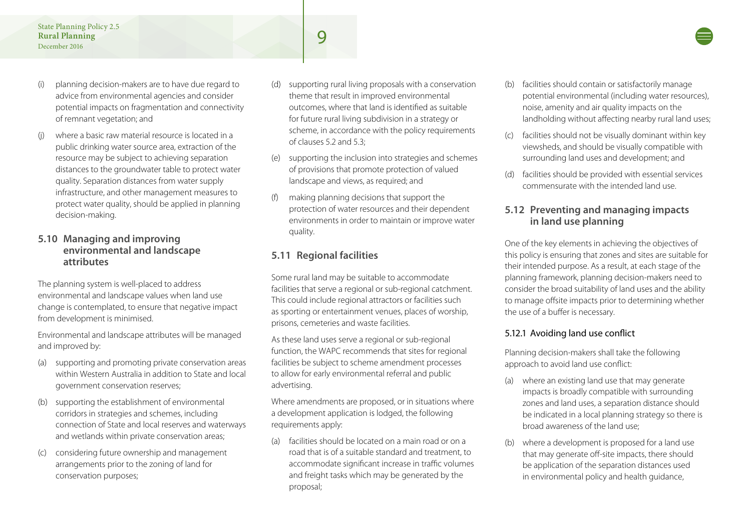- (i) planning decision-makers are to have due regard to advice from environmental agencies and consider potential impacts on fragmentation and connectivity of remnant vegetation; and
- (j) where a basic raw material resource is located in a public drinking water source area, extraction of the resource may be subject to achieving separation distances to the groundwater table to protect water quality. Separation distances from water supply infrastructure, and other management measures to protect water quality, should be applied in planning decision-making.

#### **5.10 Managing and improving environmental and landscape attributes**

The planning system is well-placed to address environmental and landscape values when land use change is contemplated, to ensure that negative impact from development is minimised.

Environmental and landscape attributes will be managed and improved by:

- (a) supporting and promoting private conservation areas within Western Australia in addition to State and local government conservation reserves;
- (b) supporting the establishment of environmental corridors in strategies and schemes, including connection of State and local reserves and waterways and wetlands within private conservation areas;
- (c) considering future ownership and management arrangements prior to the zoning of land for conservation purposes;
- (d) supporting rural living proposals with a conservation theme that result in improved environmental outcomes, where that land is identified as suitable for future rural living subdivision in a strategy or scheme, in accordance with the policy requirements of clauses 5.2 and 5.3;
- (e) supporting the inclusion into strategies and schemes of provisions that promote protection of valued landscape and views, as required; and
- making planning decisions that support the protection of water resources and their dependent environments in order to maintain or improve water quality.

#### **5.11 Regional facilities**

Some rural land may be suitable to accommodate facilities that serve a regional or sub-regional catchment. This could include regional attractors or facilities such as sporting or entertainment venues, places of worship, prisons, cemeteries and waste facilities.

As these land uses serve a regional or sub-regional function, the WAPC recommends that sites for regional facilities be subject to scheme amendment processes to allow for early environmental referral and public advertising.

Where amendments are proposed, or in situations where a development application is lodged, the following requirements apply:

(a) facilities should be located on a main road or on a road that is of a suitable standard and treatment, to accommodate significant increase in traffic volumes and freight tasks which may be generated by the proposal;

- (b) facilities should contain or satisfactorily manage potential environmental (including water resources), noise, amenity and air quality impacts on the landholding without affecting nearby rural land uses;
- (c) facilities should not be visually dominant within key viewsheds, and should be visually compatible with surrounding land uses and development; and
- (d) facilities should be provided with essential services commensurate with the intended land use.

#### **5.12 Preventing and managing impacts in land use planning**

One of the key elements in achieving the objectives of this policy is ensuring that zones and sites are suitable for their intended purpose. As a result, at each stage of the planning framework, planning decision-makers need to consider the broad suitability of land uses and the ability to manage offsite impacts prior to determining whether the use of a buffer is necessary.

#### 5.12.1 Avoiding land use conflict

Planning decision-makers shall take the following approach to avoid land use conflict:

- (a) where an existing land use that may generate impacts is broadly compatible with surrounding zones and land uses, a separation distance should be indicated in a local planning strategy so there is broad awareness of the land use;
- (b) where a development is proposed for a land use that may generate off-site impacts, there should be application of the separation distances used in environmental policy and health guidance,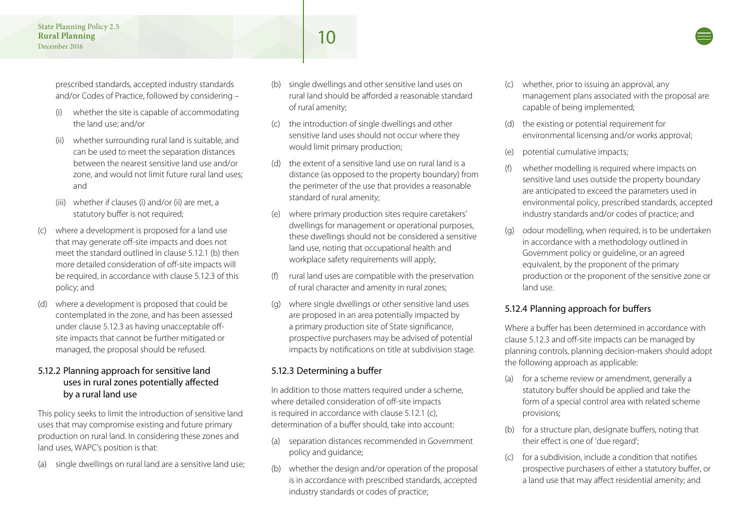- (i) whether the site is capable of accommodating the land use; and/or
- (ii) whether surrounding rural land is suitable, and can be used to meet the separation distances between the nearest sensitive land use and/or zone, and would not limit future rural land uses; and
- (iii) whether if clauses (i) and/or (ii) are met, a statutory buffer is not required;
- (c) where a development is proposed for a land use that may generate off-site impacts and does not meet the standard outlined in clause 5.12.1 (b) then more detailed consideration of off-site impacts will be required, in accordance with clause 5.12.3 of this policy; and
- (d) where a development is proposed that could be contemplated in the zone, and has been assessed under clause 5.12.3 as having unacceptable offsite impacts that cannot be further mitigated or managed, the proposal should be refused.

#### 5.12.2 Planning approach for sensitive land uses in rural zones potentially affected by a rural land use

This policy seeks to limit the introduction of sensitive land uses that may compromise existing and future primary production on rural land. In considering these zones and land uses, WAPC's position is that:

(a) single dwellings on rural land are a sensitive land use;

- (b) single dwellings and other sensitive land uses on rural land should be afforded a reasonable standard of rural amenity;
- (c) the introduction of single dwellings and other sensitive land uses should not occur where they would limit primary production;
- (d) the extent of a sensitive land use on rural land is a distance (as opposed to the property boundary) from the perimeter of the use that provides a reasonable standard of rural amenity;
- (e) where primary production sites require caretakers' dwellings for management or operational purposes, these dwellings should not be considered a sensitive land use, noting that occupational health and workplace safety requirements will apply;
- rural land uses are compatible with the preservation of rural character and amenity in rural zones;
- where single dwellings or other sensitive land uses are proposed in an area potentially impacted by a primary production site of State significance, prospective purchasers may be advised of potential impacts by notifications on title at subdivision stage.

#### 5.12.3 Determining a buffer

In addition to those matters required under a scheme, where detailed consideration of off-site impacts is required in accordance with clause 5.12.1 (c), determination of a buffer should, take into account:

- (a) separation distances recommended in Government policy and guidance;
- (b) whether the design and/or operation of the proposal is in accordance with prescribed standards, accepted industry standards or codes of practice;
- (c) whether, prior to issuing an approval, any management plans associated with the proposal are capable of being implemented;
- (d) the existing or potential requirement for environmental licensing and/or works approval;
- (e) potential cumulative impacts;
- (f) whether modelling is required where impacts on sensitive land uses outside the property boundary are anticipated to exceed the parameters used in environmental policy, prescribed standards, accepted industry standards and/or codes of practice; and
- (g) odour modelling, when required, is to be undertaken in accordance with a methodology outlined in Government policy or guideline, or an agreed equivalent, by the proponent of the primary production or the proponent of the sensitive zone or land use.

#### 5.12.4 Planning approach for buffers

Where a buffer has been determined in accordance with clause 5.12.3 and off-site impacts can be managed by planning controls, planning decision-makers should adopt the following approach as applicable:

- (a) for a scheme review or amendment, generally a statutory buffer should be applied and take the form of a special control area with related scheme provisions;
- (b) for a structure plan, designate buffers, noting that their effect is one of 'due regard';
- (c) for a subdivision, include a condition that notifies prospective purchasers of either a statutory buffer, or a land use that may affect residential amenity; and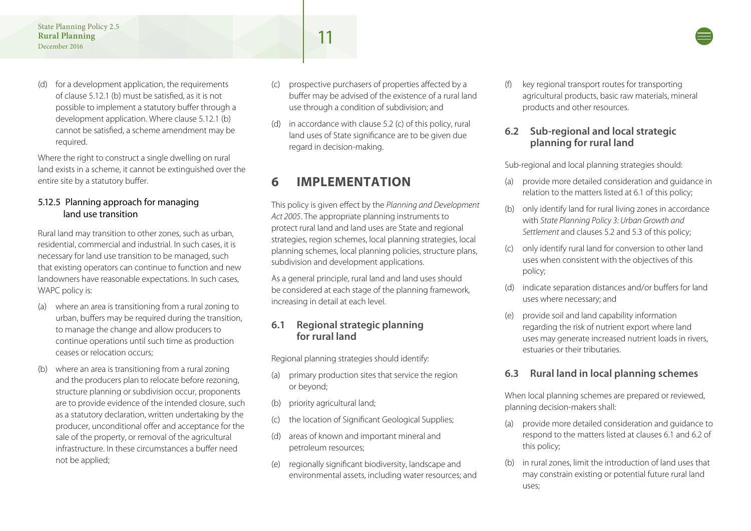(d) for a development application, the requirements of clause 5.12.1 (b) must be satisfied, as it is not possible to implement a statutory buffer through a development application. Where clause 5.12.1 (b) cannot be satisfied, a scheme amendment may be required.

Where the right to construct a single dwelling on rural land exists in a scheme, it cannot be extinguished over the entire site by a statutory buffer.

#### 5.12.5 Planning approach for managing land use transition

Rural land may transition to other zones, such as urban, residential, commercial and industrial. In such cases, it is necessary for land use transition to be managed, such that existing operators can continue to function and new landowners have reasonable expectations. In such cases, WAPC policy is:

- (a) where an area is transitioning from a rural zoning to urban, buffers may be required during the transition, to manage the change and allow producers to continue operations until such time as production ceases or relocation occurs;
- (b) where an area is transitioning from a rural zoning and the producers plan to relocate before rezoning, structure planning or subdivision occur, proponents are to provide evidence of the intended closure, such as a statutory declaration, written undertaking by the producer, unconditional offer and acceptance for the sale of the property, or removal of the agricultural infrastructure. In these circumstances a buffer need not be applied;
- (c) prospective purchasers of properties affected by a buffer may be advised of the existence of a rural land use through a condition of subdivision; and
- in accordance with clause  $5.2$  (c) of this policy, rural land uses of State significance are to be given due regard in decision-making.

## **6 IMPLEMENTATION**

This policy is given effect by the *Planning and Development Act 2005*. The appropriate planning instruments to protect rural land and land uses are State and regional strategies, region schemes, local planning strategies, local planning schemes, local planning policies, structure plans, subdivision and development applications.

As a general principle, rural land and land uses should be considered at each stage of the planning framework, increasing in detail at each level.

#### **6.1 Regional strategic planning for rural land**

Regional planning strategies should identify:

- (a) primary production sites that service the region or beyond;
- (b) priority agricultural land;
- the location of Significant Geological Supplies;
- (d) areas of known and important mineral and petroleum resources;
- (e) regionally significant biodiversity, landscape and environmental assets, including water resources; and

(f) key regional transport routes for transporting agricultural products, basic raw materials, mineral products and other resources.

#### **6.2 Sub-regional and local strategic planning for rural land**

Sub-regional and local planning strategies should:

- (a) provide more detailed consideration and guidance in relation to the matters listed at 6.1 of this policy;
- (b) only identify land for rural living zones in accordance with *State Planning Policy 3: Urban Growth and Settlement* and clauses 5.2 and 5.3 of this policy;
- (c) only identify rural land for conversion to other land uses when consistent with the objectives of this policy;
- (d) indicate separation distances and/or buffers for land uses where necessary; and
- (e) provide soil and land capability information regarding the risk of nutrient export where land uses may generate increased nutrient loads in rivers, estuaries or their tributaries.

### **6.3 Rural land in local planning schemes**

When local planning schemes are prepared or reviewed, planning decision-makers shall:

- (a) provide more detailed consideration and guidance to respond to the matters listed at clauses 6.1 and 6.2 of this policy;
- (b) in rural zones, limit the introduction of land uses that may constrain existing or potential future rural land uses;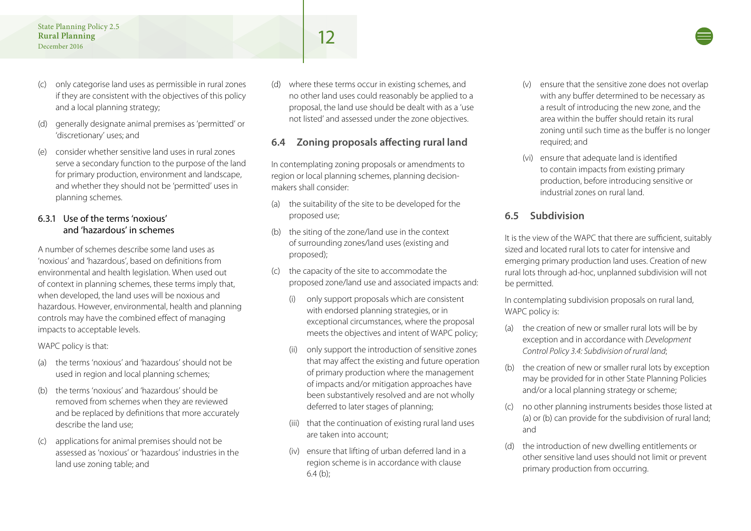- (c) only categorise land uses as permissible in rural zones if they are consistent with the objectives of this policy and a local planning strategy;
- (d) generally designate animal premises as 'permitted' or 'discretionary' uses; and
- (e) consider whether sensitive land uses in rural zones serve a secondary function to the purpose of the land for primary production, environment and landscape, and whether they should not be 'permitted' uses in planning schemes.

#### 6.3.1 Use of the terms 'noxious' and 'hazardous' in schemes

A number of schemes describe some land uses as 'noxious' and 'hazardous', based on definitions from environmental and health legislation. When used out of context in planning schemes, these terms imply that, when developed, the land uses will be noxious and hazardous. However, environmental, health and planning controls may have the combined effect of managing impacts to acceptable levels.

#### WAPC policy is that:

- (a) the terms 'noxious' and 'hazardous' should not be used in region and local planning schemes;
- (b) the terms 'noxious' and 'hazardous' should be removed from schemes when they are reviewed and be replaced by definitions that more accurately describe the land use;
- (c) applications for animal premises should not be assessed as 'noxious' or 'hazardous' industries in the land use zoning table; and

where these terms occur in existing schemes, and no other land uses could reasonably be applied to a proposal, the land use should be dealt with as a 'use not listed' and assessed under the zone objectives.

#### **6.4 Zoning proposals affecting rural land**

In contemplating zoning proposals or amendments to region or local planning schemes, planning decisionmakers shall consider:

- (a) the suitability of the site to be developed for the proposed use;
- (b) the siting of the zone/land use in the context of surrounding zones/land uses (existing and proposed);
- (c) the capacity of the site to accommodate the proposed zone/land use and associated impacts and:
	- (i) only support proposals which are consistent with endorsed planning strategies, or in exceptional circumstances, where the proposal meets the objectives and intent of WAPC policy;
	- (ii) only support the introduction of sensitive zones that may affect the existing and future operation of primary production where the management of impacts and/or mitigation approaches have been substantively resolved and are not wholly deferred to later stages of planning;
	- (iii) that the continuation of existing rural land uses are taken into account;
	- (iv) ensure that lifting of urban deferred land in a region scheme is in accordance with clause  $64(h)$ ;
- (v) ensure that the sensitive zone does not overlap with any buffer determined to be necessary as a result of introducing the new zone, and the area within the buffer should retain its rural zoning until such time as the buffer is no longer required; and
- (vi) ensure that adequate land is identified to contain impacts from existing primary production, before introducing sensitive or industrial zones on rural land.

#### **6.5 Subdivision**

It is the view of the WAPC that there are sufficient, suitably sized and located rural lots to cater for intensive and emerging primary production land uses. Creation of new rural lots through ad-hoc, unplanned subdivision will not be permitted.

In contemplating subdivision proposals on rural land, WAPC policy is:

- (a) the creation of new or smaller rural lots will be by exception and in accordance with *Development Control Policy 3.4: Subdivision of rural land*;
- (b) the creation of new or smaller rural lots by exception may be provided for in other State Planning Policies and/or a local planning strategy or scheme;
- (c) no other planning instruments besides those listed at (a) or (b) can provide for the subdivision of rural land; and
- (d) the introduction of new dwelling entitlements or other sensitive land uses should not limit or prevent primary production from occurring.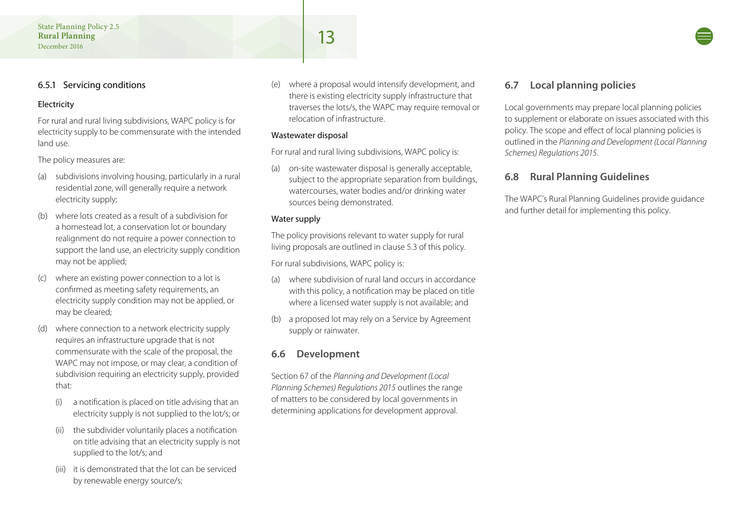#### 6.5.1 Servicing conditions

#### **Electricity**

For rural and rural living subdivisions, WAPC policy is for electricity supply to be commensurate with the intended land use.

The policy measures are:

- (a) subdivisions involving housing, particularly in a rural residential zone, will generally require a network electricity supply;
- (b) where lots created as a result of a subdivision for a homestead lot, a conservation lot or boundary realignment do not require a power connection to support the land use, an electricity supply condition may not be applied;
- (c) where an existing power connection to a lot is confirmed as meeting safety requirements, an electricity supply condition may not be applied, or may be cleared;
- (d) where connection to a network electricity supply requires an infrastructure upgrade that is not commensurate with the scale of the proposal, the WAPC may not impose, or may clear, a condition of subdivision requiring an electricity supply, provided that:
	- (i) a notification is placed on title advising that an electricity supply is not supplied to the lot/s; or
	- (ii) the subdivider voluntarily places a notification on title advising that an electricity supply is not supplied to the lot/s; and
	- (iii) it is demonstrated that the lot can be serviced by renewable energy source/s;

(e) where a proposal would intensify development, and there is existing electricity supply infrastructure that traverses the lots/s, the WAPC may require removal or relocation of infrastructure.

#### Wastewater disposal

For rural and rural living subdivisions, WAPC policy is:

(a) on-site wastewater disposal is generally acceptable, subject to the appropriate separation from buildings, watercourses, water bodies and/or drinking water sources being demonstrated.

#### Water supply

The policy provisions relevant to water supply for rural living proposals are outlined in clause 5.3 of this policy.

For rural subdivisions, WAPC policy is:

- (a) where subdivision of rural land occurs in accordance with this policy, a notification may be placed on title where a licensed water supply is not available; and
- (b) a proposed lot may rely on a Service by Agreement supply or rainwater.

#### **6.6 Development**

Section 67 of the *Planning and Development (Local Planning Schemes) Regulations 2015* outlines the range of matters to be considered by local governments in determining applications for development approval.

#### **6.7 Local planning policies**

Local governments may prepare local planning policies to supplement or elaborate on issues associated with this policy. The scope and effect of local planning policies is outlined in the *Planning and Development (Local Planning Schemes) Regulations 2015*.

#### **6.8 Rural Planning Guidelines**

The WAPC's Rural Planning Guidelines provide guidance and further detail for implementing this policy.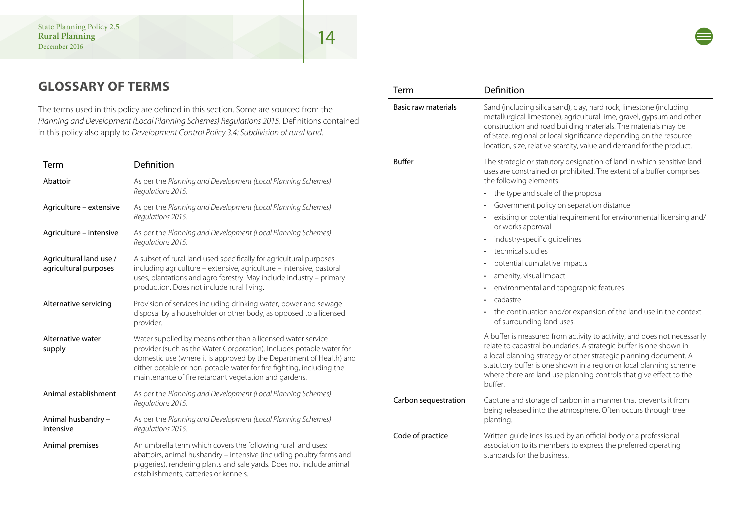## **GLOSSARY OF TERMS**

The terms used in this policy are defined in this section. Some are sourced from the *Planning and Development (Local Planning Schemes) Regulations 2015*. Definitions contained in this policy also apply to *Development Control Policy 3.4: Subdivision of rural land*.

| Term                                             | Definition                                                                                                                                                                                                                                                                                                                                  | <b>Buffer</b>        |
|--------------------------------------------------|---------------------------------------------------------------------------------------------------------------------------------------------------------------------------------------------------------------------------------------------------------------------------------------------------------------------------------------------|----------------------|
| Abattoir                                         | As per the Planning and Development (Local Planning Schemes)<br>Regulations 2015.                                                                                                                                                                                                                                                           |                      |
| Agriculture - extensive                          | As per the Planning and Development (Local Planning Schemes)<br>Regulations 2015.                                                                                                                                                                                                                                                           |                      |
| Agriculture - intensive                          | As per the Planning and Development (Local Planning Schemes)<br>Regulations 2015.                                                                                                                                                                                                                                                           |                      |
| Agricultural land use /<br>agricultural purposes | A subset of rural land used specifically for agricultural purposes<br>including agriculture - extensive, agriculture - intensive, pastoral<br>uses, plantations and agro forestry. May include industry - primary<br>production. Does not include rural living.                                                                             |                      |
| Alternative servicing                            | Provision of services including drinking water, power and sewage<br>disposal by a householder or other body, as opposed to a licensed<br>provider.                                                                                                                                                                                          |                      |
| Alternative water<br>supply                      | Water supplied by means other than a licensed water service<br>provider (such as the Water Corporation). Includes potable water for<br>domestic use (where it is approved by the Department of Health) and<br>either potable or non-potable water for fire fighting, including the<br>maintenance of fire retardant vegetation and gardens. |                      |
| Animal establishment                             | As per the Planning and Development (Local Planning Schemes)<br>Regulations 2015.                                                                                                                                                                                                                                                           | Carbon sequestration |
| Animal husbandry -<br>intensive                  | As per the Planning and Development (Local Planning Schemes)<br>Regulations 2015.                                                                                                                                                                                                                                                           | Code of practice     |
| Animal premises                                  | An umbrella term which covers the following rural land uses:<br>abattoirs, animal husbandry - intensive (including poultry farms and<br>piggeries), rendering plants and sale yards. Does not include animal<br>establishments, catteries or kennels.                                                                                       |                      |

| Term                 | Definition                                                                                                                                                                                                                                                                                                                                                                 |
|----------------------|----------------------------------------------------------------------------------------------------------------------------------------------------------------------------------------------------------------------------------------------------------------------------------------------------------------------------------------------------------------------------|
| Basic raw materials  | Sand (including silica sand), clay, hard rock, limestone (including<br>metallurgical limestone), agricultural lime, gravel, gypsum and other<br>construction and road building materials. The materials may be<br>of State, regional or local significance depending on the resource<br>location, size, relative scarcity, value and demand for the product.               |
| <b>Buffer</b>        | The strategic or statutory designation of land in which sensitive land<br>uses are constrained or prohibited. The extent of a buffer comprises<br>the following elements:                                                                                                                                                                                                  |
|                      | the type and scale of the proposal                                                                                                                                                                                                                                                                                                                                         |
|                      | Government policy on separation distance                                                                                                                                                                                                                                                                                                                                   |
|                      | existing or potential requirement for environmental licensing and/<br>or works approval                                                                                                                                                                                                                                                                                    |
|                      | industry-specific quidelines<br>$\bullet$                                                                                                                                                                                                                                                                                                                                  |
|                      | technical studies                                                                                                                                                                                                                                                                                                                                                          |
|                      | potential cumulative impacts<br>$\bullet$                                                                                                                                                                                                                                                                                                                                  |
|                      | amenity, visual impact                                                                                                                                                                                                                                                                                                                                                     |
|                      | environmental and topographic features                                                                                                                                                                                                                                                                                                                                     |
|                      | cadastre                                                                                                                                                                                                                                                                                                                                                                   |
|                      | the continuation and/or expansion of the land use in the context<br>of surrounding land uses.                                                                                                                                                                                                                                                                              |
|                      | A buffer is measured from activity to activity, and does not necessarily<br>relate to cadastral boundaries. A strategic buffer is one shown in<br>a local planning strategy or other strategic planning document. A<br>statutory buffer is one shown in a region or local planning scheme<br>where there are land use planning controls that give effect to the<br>buffer. |
| Carbon sequestration | Capture and storage of carbon in a manner that prevents it from<br>being released into the atmosphere. Often occurs through tree<br>planting.                                                                                                                                                                                                                              |
| Code of practice     | Written guidelines issued by an official body or a professional<br>association to its members to express the preferred operating<br>standards for the business.                                                                                                                                                                                                            |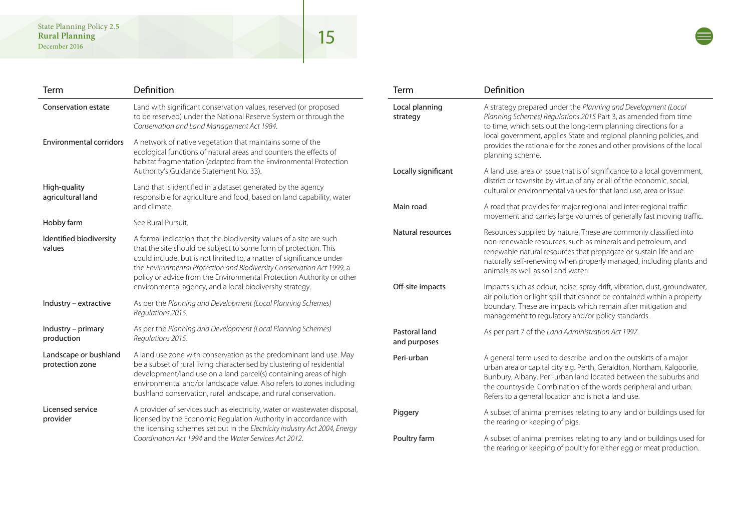| Term                                     | Definition                                                                                                                                                                                                                                                                                                                                                         | Term                          | Definition                                                                                                                                                                                                                                                                                                                                                               |
|------------------------------------------|--------------------------------------------------------------------------------------------------------------------------------------------------------------------------------------------------------------------------------------------------------------------------------------------------------------------------------------------------------------------|-------------------------------|--------------------------------------------------------------------------------------------------------------------------------------------------------------------------------------------------------------------------------------------------------------------------------------------------------------------------------------------------------------------------|
| <b>Conservation estate</b>               | Land with significant conservation values, reserved (or proposed<br>to be reserved) under the National Reserve System or through the<br>Conservation and Land Management Act 1984.                                                                                                                                                                                 | Local planning<br>strategy    | A strategy prepared under the Planning and Development (Local<br>Planning Schemes) Regulations 2015 Part 3, as amended from time<br>to time, which sets out the long-term planning directions for a<br>local government, applies State and regional planning policies, and<br>provides the rationale for the zones and other provisions of the local<br>planning scheme. |
| <b>Environmental corridors</b>           | A network of native vegetation that maintains some of the<br>ecological functions of natural areas and counters the effects of<br>habitat fragmentation (adapted from the Environmental Protection<br>Authority's Guidance Statement No. 33).                                                                                                                      |                               |                                                                                                                                                                                                                                                                                                                                                                          |
|                                          |                                                                                                                                                                                                                                                                                                                                                                    | Locally significant           | A land use, area or issue that is of significance to a local government,                                                                                                                                                                                                                                                                                                 |
| High-quality<br>agricultural land        | Land that is identified in a dataset generated by the agency<br>responsible for agriculture and food, based on land capability, water<br>and climate.                                                                                                                                                                                                              |                               | district or townsite by virtue of any or all of the economic, social,<br>cultural or environmental values for that land use, area or issue.                                                                                                                                                                                                                              |
|                                          |                                                                                                                                                                                                                                                                                                                                                                    | Main road                     | A road that provides for major regional and inter-regional traffic<br>movement and carries large volumes of generally fast moving traffic.                                                                                                                                                                                                                               |
| Hobby farm                               | See Rural Pursuit.                                                                                                                                                                                                                                                                                                                                                 |                               |                                                                                                                                                                                                                                                                                                                                                                          |
| Identified biodiversity<br>values        | A formal indication that the biodiversity values of a site are such<br>that the site should be subject to some form of protection. This<br>could include, but is not limited to, a matter of significance under<br>the Environmental Protection and Biodiversity Conservation Act 1999, a<br>policy or advice from the Environmental Protection Authority or other | Natural resources             | Resources supplied by nature. These are commonly classified into<br>non-renewable resources, such as minerals and petroleum, and<br>renewable natural resources that propagate or sustain life and are<br>naturally self-renewing when properly managed, including plants and<br>animals as well as soil and water.                                                      |
|                                          | environmental agency, and a local biodiversity strategy.                                                                                                                                                                                                                                                                                                           | Off-site impacts              | Impacts such as odour, noise, spray drift, vibration, dust, groundwater,                                                                                                                                                                                                                                                                                                 |
| Industry - extractive                    | As per the Planning and Development (Local Planning Schemes)<br>Regulations 2015.                                                                                                                                                                                                                                                                                  |                               | air pollution or light spill that cannot be contained within a property<br>boundary. These are impacts which remain after mitigation and<br>management to regulatory and/or policy standards.                                                                                                                                                                            |
| Industry – primary<br>production         | As per the Planning and Development (Local Planning Schemes)<br>Regulations 2015.                                                                                                                                                                                                                                                                                  | Pastoral land<br>and purposes | As per part 7 of the Land Administration Act 1997.                                                                                                                                                                                                                                                                                                                       |
| Landscape or bushland<br>protection zone | A land use zone with conservation as the predominant land use. May<br>be a subset of rural living characterised by clustering of residential<br>development/land use on a land parcel(s) containing areas of high<br>environmental and/or landscape value. Also refers to zones including<br>bushland conservation, rural landscape, and rural conservation.       | Peri-urban                    | A general term used to describe land on the outskirts of a major<br>urban area or capital city e.g. Perth, Geraldton, Northam, Kalgoorlie,<br>Bunbury, Albany. Peri-urban land located between the suburbs and<br>the countryside. Combination of the words peripheral and urban.<br>Refers to a general location and is not a land use.                                 |
| Licensed service<br>provider             | A provider of services such as electricity, water or wastewater disposal,<br>licensed by the Economic Regulation Authority in accordance with<br>the licensing schemes set out in the Electricity Industry Act 2004, Energy<br>Coordination Act 1994 and the Water Services Act 2012.                                                                              | Piggery                       | A subset of animal premises relating to any land or buildings used for<br>the rearing or keeping of pigs.                                                                                                                                                                                                                                                                |
|                                          |                                                                                                                                                                                                                                                                                                                                                                    | Poultry farm                  | A subset of animal premises relating to any land or buildings used for<br>the rearing or keeping of poultry for either egg or meat production.                                                                                                                                                                                                                           |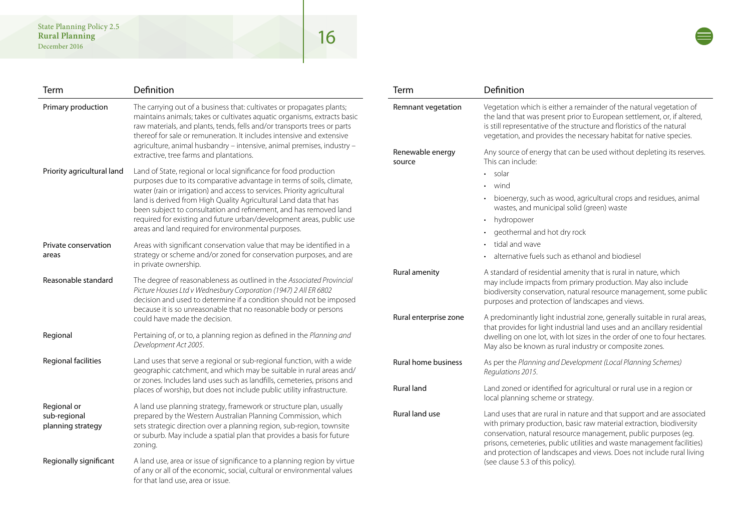| Term                                             | Definition                                                                                                                                                                                                                                                                                                                                                                                                                                                                                      | Term                       | Definition                                                                                                                                                                                                                                                                                                                                                           |
|--------------------------------------------------|-------------------------------------------------------------------------------------------------------------------------------------------------------------------------------------------------------------------------------------------------------------------------------------------------------------------------------------------------------------------------------------------------------------------------------------------------------------------------------------------------|----------------------------|----------------------------------------------------------------------------------------------------------------------------------------------------------------------------------------------------------------------------------------------------------------------------------------------------------------------------------------------------------------------|
| Primary production                               | The carrying out of a business that: cultivates or propagates plants;<br>maintains animals; takes or cultivates aquatic organisms, extracts basic<br>raw materials, and plants, tends, fells and/or transports trees or parts<br>thereof for sale or remuneration. It includes intensive and extensive                                                                                                                                                                                          | Remnant vegetation         | Vegetation which is either a remainder of the natural vegetation of<br>the land that was present prior to European settlement, or, if altered,<br>is still representative of the structure and floristics of the natural<br>vegetation, and provides the necessary habitat for native species.                                                                       |
|                                                  | agriculture, animal husbandry - intensive, animal premises, industry -<br>extractive, tree farms and plantations.                                                                                                                                                                                                                                                                                                                                                                               | Renewable energy<br>source | Any source of energy that can be used without depleting its reserves.<br>This can include:                                                                                                                                                                                                                                                                           |
| Priority agricultural land                       | Land of State, regional or local significance for food production<br>purposes due to its comparative advantage in terms of soils, climate,<br>water (rain or irrigation) and access to services. Priority agricultural<br>land is derived from High Quality Agricultural Land data that has<br>been subject to consultation and refinement, and has removed land<br>required for existing and future urban/development areas, public use<br>areas and land required for environmental purposes. |                            | • solar                                                                                                                                                                                                                                                                                                                                                              |
|                                                  |                                                                                                                                                                                                                                                                                                                                                                                                                                                                                                 |                            | • wind                                                                                                                                                                                                                                                                                                                                                               |
|                                                  |                                                                                                                                                                                                                                                                                                                                                                                                                                                                                                 |                            | bioenergy, such as wood, agricultural crops and residues, animal<br>wastes, and municipal solid (green) waste                                                                                                                                                                                                                                                        |
|                                                  |                                                                                                                                                                                                                                                                                                                                                                                                                                                                                                 |                            | • hydropower                                                                                                                                                                                                                                                                                                                                                         |
|                                                  |                                                                                                                                                                                                                                                                                                                                                                                                                                                                                                 |                            | geothermal and hot dry rock                                                                                                                                                                                                                                                                                                                                          |
| Private conservation<br>areas                    | Areas with significant conservation value that may be identified in a<br>strategy or scheme and/or zoned for conservation purposes, and are<br>in private ownership.                                                                                                                                                                                                                                                                                                                            |                            | tidal and wave                                                                                                                                                                                                                                                                                                                                                       |
|                                                  |                                                                                                                                                                                                                                                                                                                                                                                                                                                                                                 |                            | alternative fuels such as ethanol and biodiesel                                                                                                                                                                                                                                                                                                                      |
| Reasonable standard                              | The degree of reasonableness as outlined in the Associated Provincial<br>Picture Houses Ltd v Wednesbury Corporation (1947) 2 All ER 6802<br>decision and used to determine if a condition should not be imposed<br>because it is so unreasonable that no reasonable body or persons                                                                                                                                                                                                            | Rural amenity              | A standard of residential amenity that is rural in nature, which<br>may include impacts from primary production. May also include<br>biodiversity conservation, natural resource management, some public<br>purposes and protection of landscapes and views.                                                                                                         |
|                                                  | could have made the decision.                                                                                                                                                                                                                                                                                                                                                                                                                                                                   | Rural enterprise zone      | A predominantly light industrial zone, generally suitable in rural areas,<br>that provides for light industrial land uses and an ancillary residential                                                                                                                                                                                                               |
| Regional                                         | Pertaining of, or to, a planning region as defined in the Planning and<br>Development Act 2005.                                                                                                                                                                                                                                                                                                                                                                                                 |                            | dwelling on one lot, with lot sizes in the order of one to four hectares.<br>May also be known as rural industry or composite zones.                                                                                                                                                                                                                                 |
| Regional facilities                              | Land uses that serve a regional or sub-regional function, with a wide<br>geographic catchment, and which may be suitable in rural areas and/<br>or zones. Includes land uses such as landfills, cemeteries, prisons and<br>places of worship, but does not include public utility infrastructure.                                                                                                                                                                                               | <b>Rural home business</b> | As per the Planning and Development (Local Planning Schemes)<br>Regulations 2015.                                                                                                                                                                                                                                                                                    |
|                                                  |                                                                                                                                                                                                                                                                                                                                                                                                                                                                                                 | <b>Rural land</b>          | Land zoned or identified for agricultural or rural use in a region or<br>local planning scheme or strategy.                                                                                                                                                                                                                                                          |
| Regional or<br>sub-regional<br>planning strategy | A land use planning strategy, framework or structure plan, usually<br>prepared by the Western Australian Planning Commission, which<br>sets strategic direction over a planning region, sub-region, townsite<br>or suburb. May include a spatial plan that provides a basis for future<br>zoning.                                                                                                                                                                                               | Rural land use             | Land uses that are rural in nature and that support and are associated<br>with primary production, basic raw material extraction, biodiversity<br>conservation, natural resource management, public purposes (eg.<br>prisons, cemeteries, public utilities and waste management facilities)<br>and protection of landscapes and views. Does not include rural living |
| Regionally significant                           | A land use, area or issue of significance to a planning region by virtue<br>of any or all of the economic, social, cultural or environmental values<br>for that land use, area or issue.                                                                                                                                                                                                                                                                                                        |                            | (see clause 5.3 of this policy).                                                                                                                                                                                                                                                                                                                                     |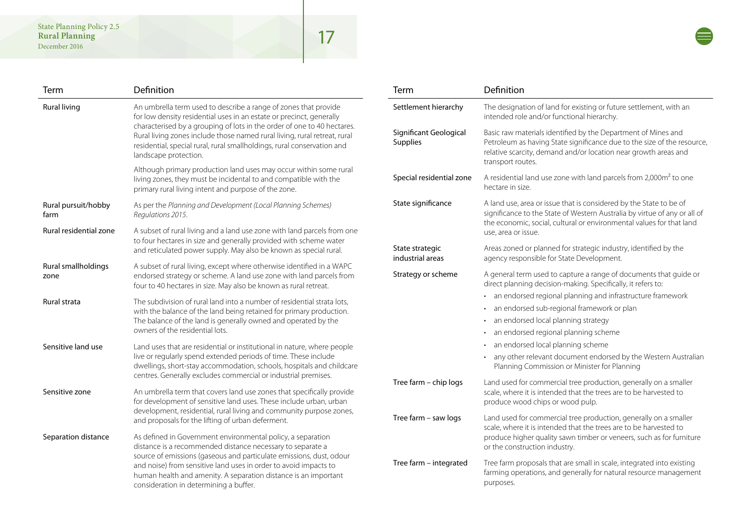| Term                        | Definition                                                                                                                                                                                                                                                                                                                                                                                          | Term                                      | Definition                                                                                                                                                                                                                       |
|-----------------------------|-----------------------------------------------------------------------------------------------------------------------------------------------------------------------------------------------------------------------------------------------------------------------------------------------------------------------------------------------------------------------------------------------------|-------------------------------------------|----------------------------------------------------------------------------------------------------------------------------------------------------------------------------------------------------------------------------------|
| <b>Rural living</b>         | An umbrella term used to describe a range of zones that provide<br>for low density residential uses in an estate or precinct, generally<br>characterised by a grouping of lots in the order of one to 40 hectares.<br>Rural living zones include those named rural living, rural retreat, rural<br>residential, special rural, rural smallholdings, rural conservation and<br>landscape protection. | Settlement hierarchy                      | The designation of land for existing or future settlement, with an<br>intended role and/or functional hierarchy.                                                                                                                 |
|                             |                                                                                                                                                                                                                                                                                                                                                                                                     | Significant Geological<br><b>Supplies</b> | Basic raw materials identified by the Department of Mines and<br>Petroleum as having State significance due to the size of the resource,<br>relative scarcity, demand and/or location near growth areas and<br>transport routes. |
|                             | Although primary production land uses may occur within some rural<br>living zones, they must be incidental to and compatible with the<br>primary rural living intent and purpose of the zone.                                                                                                                                                                                                       | Special residential zone                  | A residential land use zone with land parcels from 2,000m <sup>2</sup> to one<br>hectare in size.                                                                                                                                |
| Rural pursuit/hobby<br>farm | As per the Planning and Development (Local Planning Schemes)<br>Regulations 2015.                                                                                                                                                                                                                                                                                                                   | State significance                        | A land use, area or issue that is considered by the State to be of<br>significance to the State of Western Australia by virtue of any or all of<br>the economic, social, cultural or environmental values for that land          |
| Rural residential zone      | A subset of rural living and a land use zone with land parcels from one<br>to four hectares in size and generally provided with scheme water                                                                                                                                                                                                                                                        |                                           | use, area or issue.                                                                                                                                                                                                              |
|                             | and reticulated power supply. May also be known as special rural.                                                                                                                                                                                                                                                                                                                                   | State strategic<br>industrial areas       | Areas zoned or planned for strategic industry, identified by the<br>agency responsible for State Development.                                                                                                                    |
| Rural smallholdings<br>zone | A subset of rural living, except where otherwise identified in a WAPC<br>endorsed strategy or scheme. A land use zone with land parcels from<br>four to 40 hectares in size. May also be known as rural retreat.                                                                                                                                                                                    | Strategy or scheme                        | A general term used to capture a range of documents that guide or<br>direct planning decision-making. Specifically, it refers to:                                                                                                |
| Rural strata                | The subdivision of rural land into a number of residential strata lots,<br>with the balance of the land being retained for primary production.<br>The balance of the land is generally owned and operated by the<br>owners of the residential lots.                                                                                                                                                 |                                           | • an endorsed regional planning and infrastructure framework                                                                                                                                                                     |
|                             |                                                                                                                                                                                                                                                                                                                                                                                                     |                                           | • an endorsed sub-regional framework or plan                                                                                                                                                                                     |
|                             |                                                                                                                                                                                                                                                                                                                                                                                                     |                                           | • an endorsed local planning strategy                                                                                                                                                                                            |
|                             |                                                                                                                                                                                                                                                                                                                                                                                                     |                                           | an endorsed regional planning scheme                                                                                                                                                                                             |
| Sensitive land use          | Land uses that are residential or institutional in nature, where people                                                                                                                                                                                                                                                                                                                             |                                           | • an endorsed local planning scheme                                                                                                                                                                                              |
|                             | live or regularly spend extended periods of time. These include<br>dwellings, short-stay accommodation, schools, hospitals and childcare                                                                                                                                                                                                                                                            |                                           | • any other relevant document endorsed by the Western Australian<br>Planning Commission or Minister for Planning                                                                                                                 |
|                             | centres. Generally excludes commercial or industrial premises.                                                                                                                                                                                                                                                                                                                                      | Tree farm - chip logs                     | Land used for commercial tree production, generally on a smaller                                                                                                                                                                 |
| Sensitive zone              | An umbrella term that covers land use zones that specifically provide<br>for development of sensitive land uses. These include urban, urban                                                                                                                                                                                                                                                         |                                           | scale, where it is intended that the trees are to be harvested to<br>produce wood chips or wood pulp.                                                                                                                            |
|                             | development, residential, rural living and community purpose zones,<br>and proposals for the lifting of urban deferment.                                                                                                                                                                                                                                                                            | Tree farm - saw logs                      | Land used for commercial tree production, generally on a smaller<br>scale, where it is intended that the trees are to be harvested to                                                                                            |
| Separation distance         | As defined in Government environmental policy, a separation<br>distance is a recommended distance necessary to separate a                                                                                                                                                                                                                                                                           |                                           | produce higher quality sawn timber or veneers, such as for furniture<br>or the construction industry.                                                                                                                            |
|                             | source of emissions (gaseous and particulate emissions, dust, odour<br>and noise) from sensitive land uses in order to avoid impacts to<br>human health and amenity. A separation distance is an important<br>consideration in determining a buffer.                                                                                                                                                | Tree farm - integrated                    | Tree farm proposals that are small in scale, integrated into existing<br>farming operations, and generally for natural resource management<br>purposes.                                                                          |